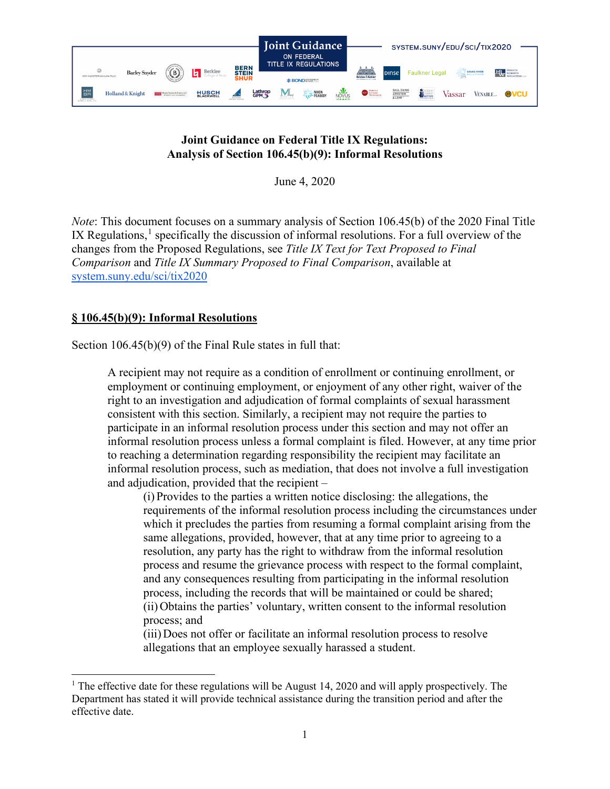

## **Joint Guidance on Federal Title IX Regulations: Analysis of Section 106.45(b)(9): Informal Resolutions**

June 4, 2020

*Note*: This document focuses on a summary analysis of Section 106.45(b) of the 2020 Final Title IX Regulations, $<sup>1</sup>$  $<sup>1</sup>$  $<sup>1</sup>$  specifically the discussion of informal resolutions. For a full overview of the</sup> changes from the Proposed Regulations, see *Title IX Text for Text Proposed to Final Comparison* and *Title IX Summary Proposed to Final Comparison*, available at [system.suny.edu/sci/tix2020](https://system.suny.edu/sci/tix2020/)

# **§ 106.45(b)(9): Informal Resolutions**

Section 106.45(b)(9) of the Final Rule states in full that:

A recipient may not require as a condition of enrollment or continuing enrollment, or employment or continuing employment, or enjoyment of any other right, waiver of the right to an investigation and adjudication of formal complaints of sexual harassment consistent with this section. Similarly, a recipient may not require the parties to participate in an informal resolution process under this section and may not offer an informal resolution process unless a formal complaint is filed. However, at any time prior to reaching a determination regarding responsibility the recipient may facilitate an informal resolution process, such as mediation, that does not involve a full investigation and adjudication, provided that the recipient –

(i) Provides to the parties a written notice disclosing: the allegations, the requirements of the informal resolution process including the circumstances under which it precludes the parties from resuming a formal complaint arising from the same allegations, provided, however, that at any time prior to agreeing to a resolution, any party has the right to withdraw from the informal resolution process and resume the grievance process with respect to the formal complaint, and any consequences resulting from participating in the informal resolution process, including the records that will be maintained or could be shared; (ii) Obtains the parties' voluntary, written consent to the informal resolution process; and

(iii) Does not offer or facilitate an informal resolution process to resolve allegations that an employee sexually harassed a student.

<span id="page-0-0"></span><sup>&</sup>lt;sup>1</sup> The effective date for these regulations will be August 14, 2020 and will apply prospectively. The Department has stated it will provide technical assistance during the transition period and after the effective date.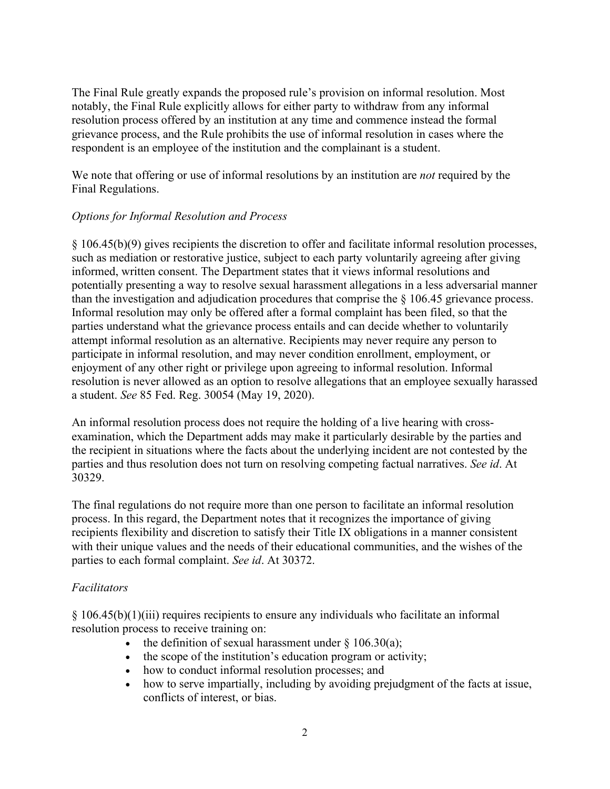The Final Rule greatly expands the proposed rule's provision on informal resolution. Most notably, the Final Rule explicitly allows for either party to withdraw from any informal resolution process offered by an institution at any time and commence instead the formal grievance process, and the Rule prohibits the use of informal resolution in cases where the respondent is an employee of the institution and the complainant is a student.

We note that offering or use of informal resolutions by an institution are *not* required by the Final Regulations.

## *Options for Informal Resolution and Process*

§ 106.45(b)(9) gives recipients the discretion to offer and facilitate informal resolution processes, such as mediation or restorative justice, subject to each party voluntarily agreeing after giving informed, written consent. The Department states that it views informal resolutions and potentially presenting a way to resolve sexual harassment allegations in a less adversarial manner than the investigation and adjudication procedures that comprise the § 106.45 grievance process. Informal resolution may only be offered after a formal complaint has been filed, so that the parties understand what the grievance process entails and can decide whether to voluntarily attempt informal resolution as an alternative. Recipients may never require any person to participate in informal resolution, and may never condition enrollment, employment, or enjoyment of any other right or privilege upon agreeing to informal resolution. Informal resolution is never allowed as an option to resolve allegations that an employee sexually harassed a student. *See* 85 Fed. Reg. 30054 (May 19, 2020).

An informal resolution process does not require the holding of a live hearing with crossexamination, which the Department adds may make it particularly desirable by the parties and the recipient in situations where the facts about the underlying incident are not contested by the parties and thus resolution does not turn on resolving competing factual narratives. *See id*. At 30329.

The final regulations do not require more than one person to facilitate an informal resolution process. In this regard, the Department notes that it recognizes the importance of giving recipients flexibility and discretion to satisfy their Title IX obligations in a manner consistent with their unique values and the needs of their educational communities, and the wishes of the parties to each formal complaint. *See id*. At 30372.

## *Facilitators*

§ 106.45(b)(1)(iii) requires recipients to ensure any individuals who facilitate an informal resolution process to receive training on:

- the definition of sexual harassment under  $\delta$  106.30(a);
- the scope of the institution's education program or activity;
- how to conduct informal resolution processes; and
- how to serve impartially, including by avoiding prejudgment of the facts at issue, conflicts of interest, or bias.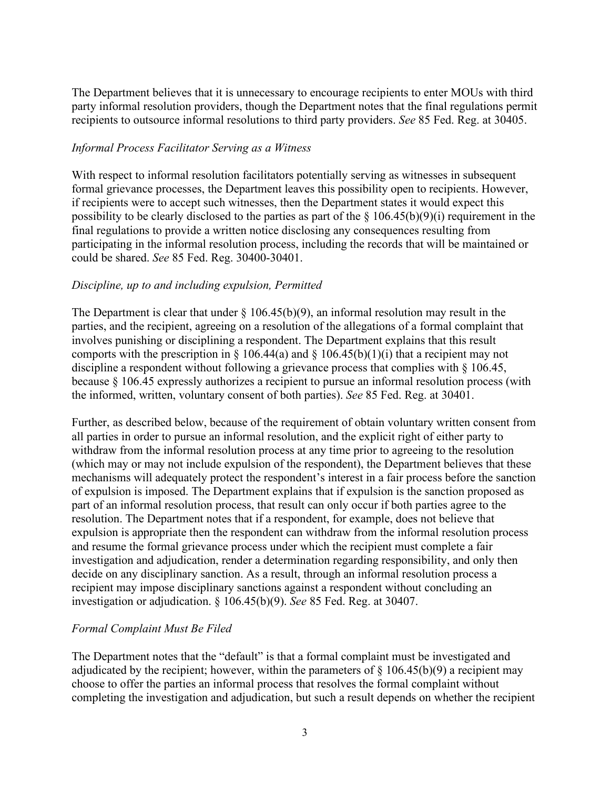The Department believes that it is unnecessary to encourage recipients to enter MOUs with third party informal resolution providers, though the Department notes that the final regulations permit recipients to outsource informal resolutions to third party providers. *See* 85 Fed. Reg. at 30405.

### *Informal Process Facilitator Serving as a Witness*

With respect to informal resolution facilitators potentially serving as witnesses in subsequent formal grievance processes, the Department leaves this possibility open to recipients. However, if recipients were to accept such witnesses, then the Department states it would expect this possibility to be clearly disclosed to the parties as part of the  $\S$  106.45(b)(9)(i) requirement in the final regulations to provide a written notice disclosing any consequences resulting from participating in the informal resolution process, including the records that will be maintained or could be shared. *See* 85 Fed. Reg. 30400-30401.

#### *Discipline, up to and including expulsion, Permitted*

The Department is clear that under  $\S$  106.45(b)(9), an informal resolution may result in the parties, and the recipient, agreeing on a resolution of the allegations of a formal complaint that involves punishing or disciplining a respondent. The Department explains that this result comports with the prescription in  $\S$  106.44(a) and  $\S$  106.45(b)(1)(i) that a recipient may not discipline a respondent without following a grievance process that complies with § 106.45, because § 106.45 expressly authorizes a recipient to pursue an informal resolution process (with the informed, written, voluntary consent of both parties). *See* 85 Fed. Reg. at 30401.

Further, as described below, because of the requirement of obtain voluntary written consent from all parties in order to pursue an informal resolution, and the explicit right of either party to withdraw from the informal resolution process at any time prior to agreeing to the resolution (which may or may not include expulsion of the respondent), the Department believes that these mechanisms will adequately protect the respondent's interest in a fair process before the sanction of expulsion is imposed. The Department explains that if expulsion is the sanction proposed as part of an informal resolution process, that result can only occur if both parties agree to the resolution. The Department notes that if a respondent, for example, does not believe that expulsion is appropriate then the respondent can withdraw from the informal resolution process and resume the formal grievance process under which the recipient must complete a fair investigation and adjudication, render a determination regarding responsibility, and only then decide on any disciplinary sanction. As a result, through an informal resolution process a recipient may impose disciplinary sanctions against a respondent without concluding an investigation or adjudication. § 106.45(b)(9). *See* 85 Fed. Reg. at 30407.

### *Formal Complaint Must Be Filed*

The Department notes that the "default" is that a formal complaint must be investigated and adjudicated by the recipient; however, within the parameters of  $\S$  106.45(b)(9) a recipient may choose to offer the parties an informal process that resolves the formal complaint without completing the investigation and adjudication, but such a result depends on whether the recipient